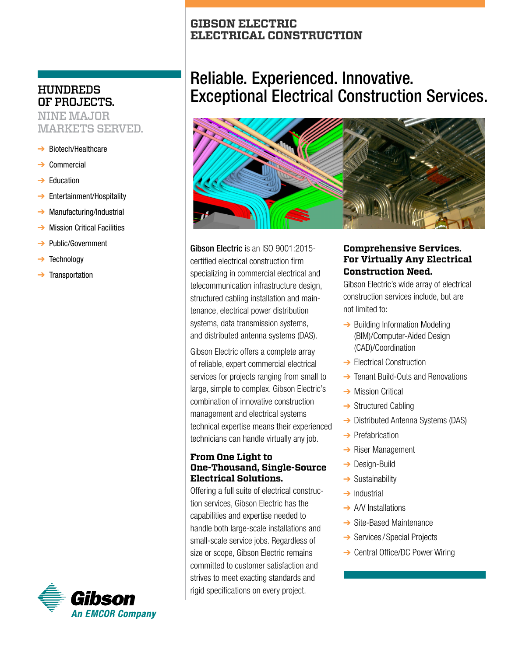## HUNDREDS OF PROJECTS.

NINE MAJOR MARKETS SERVED.

- ➔ Biotech/Healthcare
- **Commercial**
- **Education**
- ➔ Entertainment/Hospitality
- ➔ Manufacturing/Industrial
- **Mission Critical Facilities**
- ➔ Public/Government
- **Technology**
- **→** Transportation



## **GIBSON ELECTRIC ELECTRICAL CONSTRUCTION**

# Reliable. Experienced. Innovative. Exceptional Electrical Construction Services.



Gibson Electric is an ISO 9001:2015certified electrical construction firm specializing in commercial electrical and telecommunication infrastructure design, structured cabling installation and maintenance, electrical power distribution systems, data transmission systems, and distributed antenna systems (DAS).

Gibson Electric offers a complete array of reliable, expert commercial electrical services for projects ranging from small to large, simple to complex. Gibson Electric's combination of innovative construction management and electrical systems technical expertise means their experienced technicians can handle virtually any job.

#### **From One Light to One-Thousand, Single-Source Electrical Solutions.**

Offering a full suite of electrical construction services, Gibson Electric has the capabilities and expertise needed to handle both large-scale installations and small-scale service jobs. Regardless of size or scope, Gibson Electric remains committed to customer satisfaction and strives to meet exacting standards and rigid specifications on every project.

#### **Comprehensive Services. For Virtually Any Electrical Construction Need.**

Gibson Electric's wide array of electrical construction services include, but are not limited to:

- $\rightarrow$  Building Information Modeling (BIM)/Computer-Aided Design (CAD)/Coordination
- **→ Electrical Construction**
- ➔ Tenant Build-Outs and Renovations
- **→ Mission Critical**
- **→ Structured Cabling**
- **→ Distributed Antenna Systems (DAS)**
- **→** Prefabrication
- $\rightarrow$  Riser Management
- **→ Design-Build**
- $\rightarrow$  Sustainability
- $\rightarrow$  Industrial
- **→ A/V Installations**
- **→ Site-Based Maintenance**
- **→ Services / Special Projects**
- **→ Central Office/DC Power Wiring**